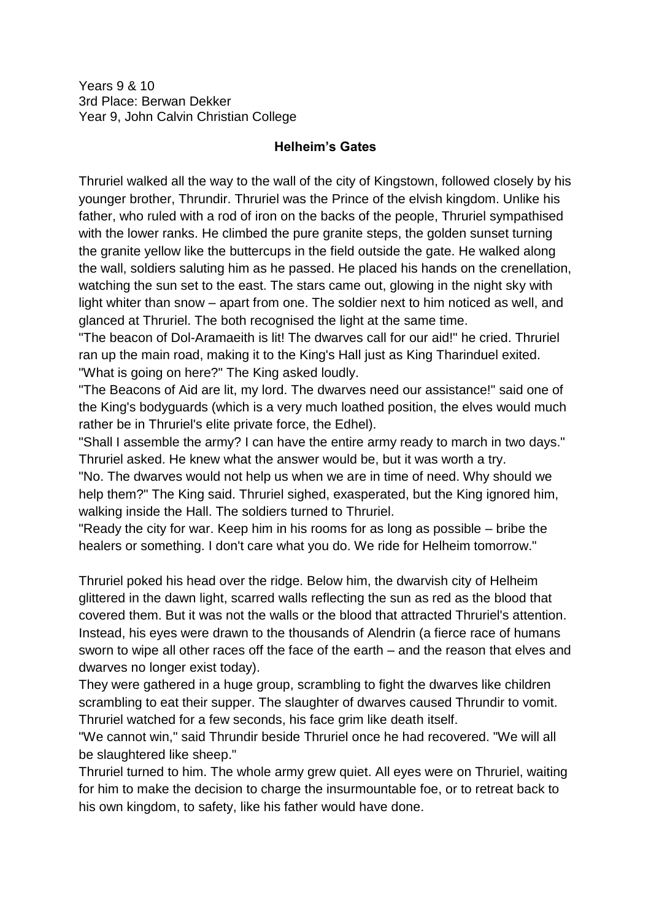Years 9 & 10 3rd Place: Berwan Dekker Year 9, John Calvin Christian College

## **Helheim's Gates**

Thruriel walked all the way to the wall of the city of Kingstown, followed closely by his younger brother, Thrundir. Thruriel was the Prince of the elvish kingdom. Unlike his father, who ruled with a rod of iron on the backs of the people, Thruriel sympathised with the lower ranks. He climbed the pure granite steps, the golden sunset turning the granite yellow like the buttercups in the field outside the gate. He walked along the wall, soldiers saluting him as he passed. He placed his hands on the crenellation, watching the sun set to the east. The stars came out, glowing in the night sky with light whiter than snow – apart from one. The soldier next to him noticed as well, and glanced at Thruriel. The both recognised the light at the same time.

"The beacon of Dol-Aramaeith is lit! The dwarves call for our aid!" he cried. Thruriel ran up the main road, making it to the King's Hall just as King Tharinduel exited. "What is going on here?" The King asked loudly.

"The Beacons of Aid are lit, my lord. The dwarves need our assistance!" said one of the King's bodyguards (which is a very much loathed position, the elves would much rather be in Thruriel's elite private force, the Edhel).

"Shall I assemble the army? I can have the entire army ready to march in two days." Thruriel asked. He knew what the answer would be, but it was worth a try.

"No. The dwarves would not help us when we are in time of need. Why should we help them?" The King said. Thruriel sighed, exasperated, but the King ignored him, walking inside the Hall. The soldiers turned to Thruriel.

"Ready the city for war. Keep him in his rooms for as long as possible – bribe the healers or something. I don't care what you do. We ride for Helheim tomorrow."

Thruriel poked his head over the ridge. Below him, the dwarvish city of Helheim glittered in the dawn light, scarred walls reflecting the sun as red as the blood that covered them. But it was not the walls or the blood that attracted Thruriel's attention. Instead, his eyes were drawn to the thousands of Alendrin (a fierce race of humans sworn to wipe all other races off the face of the earth – and the reason that elves and dwarves no longer exist today).

They were gathered in a huge group, scrambling to fight the dwarves like children scrambling to eat their supper. The slaughter of dwarves caused Thrundir to vomit. Thruriel watched for a few seconds, his face grim like death itself.

"We cannot win," said Thrundir beside Thruriel once he had recovered. "We will all be slaughtered like sheep."

Thruriel turned to him. The whole army grew quiet. All eyes were on Thruriel, waiting for him to make the decision to charge the insurmountable foe, or to retreat back to his own kingdom, to safety, like his father would have done.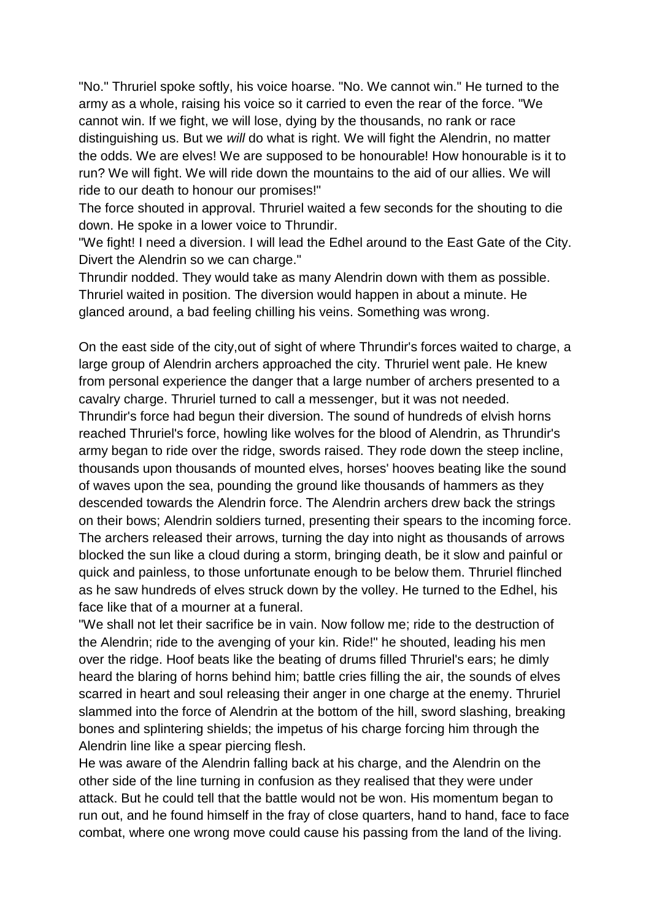"No." Thruriel spoke softly, his voice hoarse. "No. We cannot win." He turned to the army as a whole, raising his voice so it carried to even the rear of the force. "We cannot win. If we fight, we will lose, dying by the thousands, no rank or race distinguishing us. But we *will* do what is right. We will fight the Alendrin, no matter the odds. We are elves! We are supposed to be honourable! How honourable is it to run? We will fight. We will ride down the mountains to the aid of our allies. We will ride to our death to honour our promises!"

The force shouted in approval. Thruriel waited a few seconds for the shouting to die down. He spoke in a lower voice to Thrundir.

"We fight! I need a diversion. I will lead the Edhel around to the East Gate of the City. Divert the Alendrin so we can charge."

Thrundir nodded. They would take as many Alendrin down with them as possible. Thruriel waited in position. The diversion would happen in about a minute. He glanced around, a bad feeling chilling his veins. Something was wrong.

On the east side of the city,out of sight of where Thrundir's forces waited to charge, a large group of Alendrin archers approached the city. Thruriel went pale. He knew from personal experience the danger that a large number of archers presented to a cavalry charge. Thruriel turned to call a messenger, but it was not needed. Thrundir's force had begun their diversion. The sound of hundreds of elvish horns reached Thruriel's force, howling like wolves for the blood of Alendrin, as Thrundir's army began to ride over the ridge, swords raised. They rode down the steep incline, thousands upon thousands of mounted elves, horses' hooves beating like the sound of waves upon the sea, pounding the ground like thousands of hammers as they descended towards the Alendrin force. The Alendrin archers drew back the strings on their bows; Alendrin soldiers turned, presenting their spears to the incoming force. The archers released their arrows, turning the day into night as thousands of arrows blocked the sun like a cloud during a storm, bringing death, be it slow and painful or quick and painless, to those unfortunate enough to be below them. Thruriel flinched as he saw hundreds of elves struck down by the volley. He turned to the Edhel, his face like that of a mourner at a funeral.

"We shall not let their sacrifice be in vain. Now follow me; ride to the destruction of the Alendrin; ride to the avenging of your kin. Ride!" he shouted, leading his men over the ridge. Hoof beats like the beating of drums filled Thruriel's ears; he dimly heard the blaring of horns behind him; battle cries filling the air, the sounds of elves scarred in heart and soul releasing their anger in one charge at the enemy. Thruriel slammed into the force of Alendrin at the bottom of the hill, sword slashing, breaking bones and splintering shields; the impetus of his charge forcing him through the Alendrin line like a spear piercing flesh.

He was aware of the Alendrin falling back at his charge, and the Alendrin on the other side of the line turning in confusion as they realised that they were under attack. But he could tell that the battle would not be won. His momentum began to run out, and he found himself in the fray of close quarters, hand to hand, face to face combat, where one wrong move could cause his passing from the land of the living.